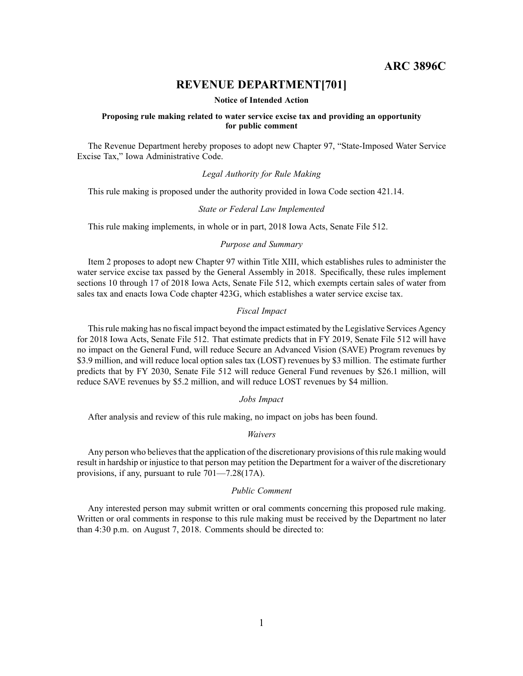**ARC 3896C**

# **REVENUE DEPARTMENT[701]**

#### **Notice of Intended Action**

### **Proposing rule making related to water service excise tax and providing an opportunity for public comment**

The Revenue Department hereby proposes to adopt new Chapter 97, "State-Imposed Water Service Excise Tax," Iowa Administrative Code.

## *Legal Authority for Rule Making*

This rule making is proposed under the authority provided in Iowa Code section 421.14.

#### *State or Federal Law Implemented*

This rule making implements, in whole or in part, 2018 Iowa Acts, Senate File 512.

## *Purpose and Summary*

Item 2 proposes to adopt new Chapter 97 within Title XIII, which establishes rules to administer the water service excise tax passed by the General Assembly in 2018. Specifically, these rules implement sections 10 through 17 of 2018 Iowa Acts, Senate File 512, which exempts certain sales of water from sales tax and enacts Iowa Code chapter 423G, which establishes <sup>a</sup> water service excise tax.

## *Fiscal Impact*

Thisrule making has no fiscal impact beyond the impact estimated by the Legislative Services Agency for 2018 Iowa Acts, Senate File 512. That estimate predicts that in FY 2019, Senate File 512 will have no impact on the General Fund, will reduce Secure an Advanced Vision (SAVE) Program revenues by \$3.9 million, and will reduce local option sales tax (LOST) revenues by \$3 million. The estimate further predicts that by FY 2030, Senate File 512 will reduce General Fund revenues by \$26.1 million, will reduce SAVE revenues by \$5.2 million, and will reduce LOST revenues by \$4 million.

## *Jobs Impact*

After analysis and review of this rule making, no impact on jobs has been found.

#### *Waivers*

Any person who believes that the application of the discretionary provisions of this rule making would result in hardship or injustice to that person may petition the Department for <sup>a</sup> waiver of the discretionary provisions, if any, pursuan<sup>t</sup> to rule 701—7.28(17A).

### *Public Comment*

Any interested person may submit written or oral comments concerning this proposed rule making. Written or oral comments in response to this rule making must be received by the Department no later than 4:30 p.m. on August 7, 2018. Comments should be directed to: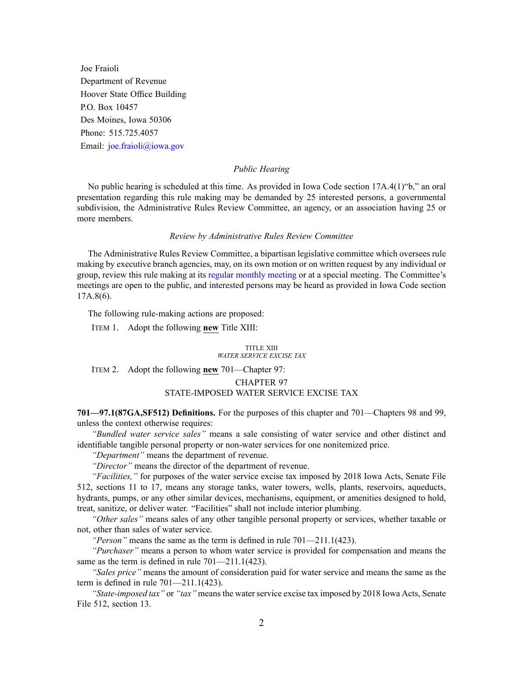Joe Fraioli Department of Revenue Hoover State Office Building P.O. Box 10457 Des Moines, Iowa 50306 Phone: 515.725.4057 Email: [joe.fraioli@iowa.gov](mailto:joe.fraioli@iowa.gov)

### *Public Hearing*

No public hearing is scheduled at this time. As provided in Iowa Code section 17A.4(1)"b," an oral presentation regarding this rule making may be demanded by 25 interested persons, <sup>a</sup> governmental subdivision, the Administrative Rules Review Committee, an agency, or an association having 25 or more members.

### *Review by Administrative Rules Review Committee*

The Administrative Rules Review Committee, <sup>a</sup> bipartisan legislative committee which oversees rule making by executive branch agencies, may, on its own motion or on written reques<sup>t</sup> by any individual or group, review this rule making at its regular [monthly](https://www.legis.iowa.gov/committees/meetings/meetingsListComm?groupID=705&ga=87) meeting or at <sup>a</sup> special meeting. The Committee's meetings are open to the public, and interested persons may be heard as provided in Iowa Code section 17A.8(6).

The following rule-making actions are proposed:

ITEM 1. Adopt the following **new** Title XIII:

#### TITLE XIII *WATER SERVICE EXCISE TAX*

ITEM 2. Adopt the following **new** 701—Chapter 97:

#### CHAPTER 97

### STATE-IMPOSED WATER SERVICE EXCISE TAX

**701—97.1(87GA,SF512) Definitions.** For the purposes of this chapter and 701—Chapters 98 and 99, unless the context otherwise requires:

*"Bundled water service sales"* means <sup>a</sup> sale consisting of water service and other distinct and identifiable tangible personal property or non-water services for one nonitemized price.

*"Department"* means the department of revenue.

*"Director"* means the director of the department of revenue.

*"Facilities,"* for purposes of the water service excise tax imposed by 2018 Iowa Acts, Senate File 512, sections 11 to 17, means any storage tanks, water towers, wells, plants, reservoirs, aqueducts, hydrants, pumps, or any other similar devices, mechanisms, equipment, or amenities designed to hold, treat, sanitize, or deliver water. "Facilities" shall not include interior plumbing.

*"Other sales"* means sales of any other tangible personal property or services, whether taxable or not, other than sales of water service.

*"Person"* means the same as the term is defined in rule 701—211.1(423).

*"Purchaser"* means <sup>a</sup> person to whom water service is provided for compensation and means the same as the term is defined in rule 701—211.1(423).

*"Sales price"* means the amount of consideration paid for water service and means the same as the term is defined in rule 701—211.1(423).

*"State-imposed tax"* or *"tax"* meansthe waterservice excise tax imposed by 2018 Iowa Acts, Senate File 512, section 13.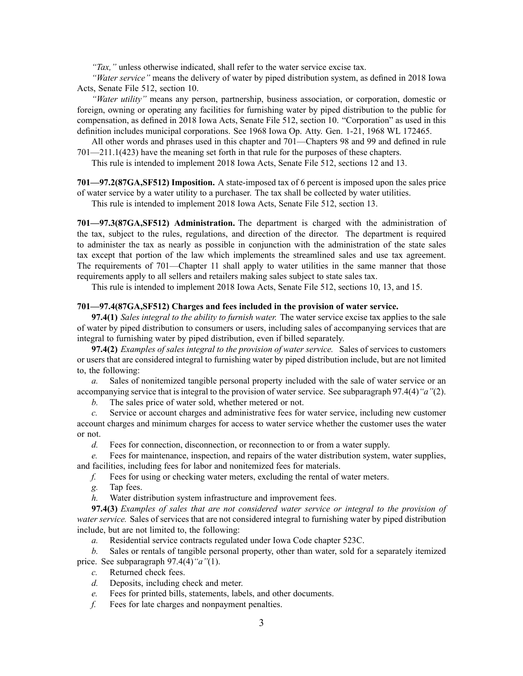*"Tax,"* unless otherwise indicated, shall refer to the water service excise tax.

*"Water service"* means the delivery of water by piped distribution system, as defined in 2018 Iowa Acts, Senate File 512, section 10.

*"Water utility"* means any person, partnership, business association, or corporation, domestic or foreign, owning or operating any facilities for furnishing water by piped distribution to the public for compensation, as defined in 2018 Iowa Acts, Senate File 512, section 10. "Corporation" as used in this definition includes municipal corporations. See 1968 Iowa Op. Atty. Gen. 1-21, 1968 WL 172465.

All other words and phrases used in this chapter and 701—Chapters 98 and 99 and defined in rule 701—211.1(423) have the meaning set forth in that rule for the purposes of these chapters.

This rule is intended to implement 2018 Iowa Acts, Senate File 512, sections 12 and 13.

**701—97.2(87GA,SF512) Imposition.** A state-imposed tax of 6 percen<sup>t</sup> is imposed upon the sales price of water service by <sup>a</sup> water utility to <sup>a</sup> purchaser. The tax shall be collected by water utilities.

This rule is intended to implement 2018 Iowa Acts, Senate File 512, section 13.

**701—97.3(87GA,SF512) Administration.** The department is charged with the administration of the tax, subject to the rules, regulations, and direction of the director. The department is required to administer the tax as nearly as possible in conjunction with the administration of the state sales tax excep<sup>t</sup> that portion of the law which implements the streamlined sales and use tax agreement. The requirements of 701—Chapter 11 shall apply to water utilities in the same manner that those requirements apply to all sellers and retailers making sales subject to state sales tax.

This rule is intended to implement 2018 Iowa Acts, Senate File 512, sections 10, 13, and 15.

#### **701—97.4(87GA,SF512) Charges and fees included in the provision of water service.**

**97.4(1)** *Sales integral to the ability to furnish water.* The water service excise tax applies to the sale of water by piped distribution to consumers or users, including sales of accompanying services that are integral to furnishing water by piped distribution, even if billed separately.

**97.4(2)** *Examples of sales integral to the provision of water service.* Sales of services to customers or users that are considered integral to furnishing water by piped distribution include, but are not limited to, the following:

*a.* Sales of nonitemized tangible personal property included with the sale of water service or an accompanying service that is integral to the provision of water service. See subparagraph 97.4(4)*"a"*(2).

*b.* The sales price of water sold, whether metered or not.

*c.* Service or account charges and administrative fees for water service, including new customer account charges and minimum charges for access to water service whether the customer uses the water or not.

*d.* Fees for connection, disconnection, or reconnection to or from <sup>a</sup> water supply.

*e.* Fees for maintenance, inspection, and repairs of the water distribution system, water supplies, and facilities, including fees for labor and nonitemized fees for materials.

*f.* Fees for using or checking water meters, excluding the rental of water meters.

*g.* Tap fees.

*h.* Water distribution system infrastructure and improvement fees.

**97.4(3)** *Examples of sales that are not considered water service or integral to the provision of water service.* Sales of services that are not considered integral to furnishing water by piped distribution include, but are not limited to, the following:

*a.* Residential service contracts regulated under Iowa Code chapter [523C](https://www.legis.iowa.gov/docs/ico/chapter/2018/523C.pdf).

*b.* Sales or rentals of tangible personal property, other than water, sold for <sup>a</sup> separately itemized price. See subparagraph 97.4(4)*"a"*(1).

*c.* Returned check fees.

*d.* Deposits, including check and meter.

*e.* Fees for printed bills, statements, labels, and other documents.

*f.* Fees for late charges and nonpaymen<sup>t</sup> penalties.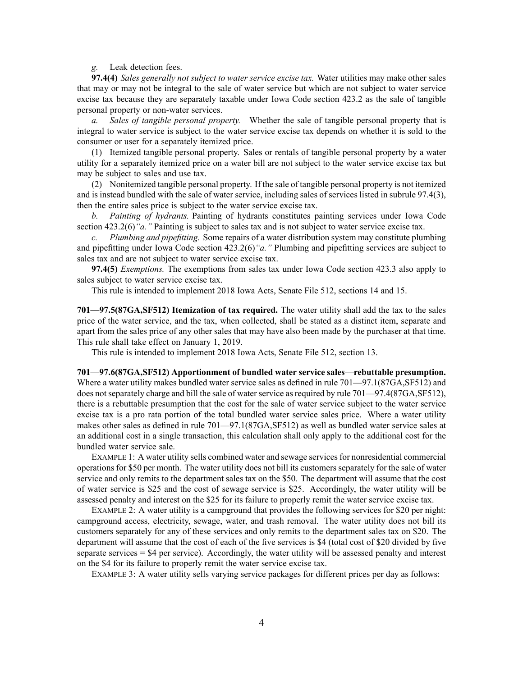## *g.* Leak detection fees.

**97.4(4)** *Sales generally not subject to water service excise tax.* Water utilities may make other sales that may or may not be integral to the sale of water service but which are not subject to water service excise tax because they are separately taxable under Iowa Code section [423.2](https://www.legis.iowa.gov/docs/ico/section/2018/423.2.pdf) as the sale of tangible personal property or non-water services.

*a. Sales of tangible personal property.* Whether the sale of tangible personal property that is integral to water service is subject to the water service excise tax depends on whether it is sold to the consumer or user for <sup>a</sup> separately itemized price.

(1) Itemized tangible personal property. Sales or rentals of tangible personal property by <sup>a</sup> water utility for <sup>a</sup> separately itemized price on <sup>a</sup> water bill are not subject to the water service excise tax but may be subject to sales and use tax.

(2) Nonitemized tangible personal property. If the sale of tangible personal property is not itemized and is instead bundled with the sale of water service, including sales of services listed in subrule 97.4(3), then the entire sales price is subject to the water service excise tax.

*b. Painting of hydrants.* Painting of hydrants constitutes painting services under Iowa Code section [423.2\(6\)](https://www.legis.iowa.gov/docs/ico/section/2018/423.2.pdf)*"a."* Painting is subject to sales tax and is not subject to water service excise tax.

*c. Plumbing and pipefitting.* Some repairs of <sup>a</sup> water distribution system may constitute plumbing and pipefitting under Iowa Code section [423.2\(6\)](https://www.legis.iowa.gov/docs/ico/section/2018/423.2.pdf)*"a."* Plumbing and pipefitting services are subject to sales tax and are not subject to water service excise tax.

**97.4(5)** *Exemptions.* The exemptions from sales tax under Iowa Code section [423.3](https://www.legis.iowa.gov/docs/ico/section/2018/423.3.pdf) also apply to sales subject to water service excise tax.

This rule is intended to implement 2018 Iowa Acts, Senate File 512, sections 14 and 15.

**701—97.5(87GA,SF512) Itemization of tax required.** The water utility shall add the tax to the sales price of the water service, and the tax, when collected, shall be stated as <sup>a</sup> distinct item, separate and apar<sup>t</sup> from the sales price of any other sales that may have also been made by the purchaser at that time. This rule shall take effect on January 1, 2019.

This rule is intended to implement 2018 Iowa Acts, Senate File 512, section 13.

**701—97.6(87GA,SF512) Apportionment of bundled water service sales—rebuttable presumption.** Where <sup>a</sup> water utility makes bundled water service sales as defined in rule 701—97.1(87GA,SF512) and does not separately charge and bill the sale of water service as required by rule 701—97.4(87GA,SF512), there is <sup>a</sup> rebuttable presumption that the cost for the sale of water service subject to the water service excise tax is <sup>a</sup> pro rata portion of the total bundled water service sales price. Where <sup>a</sup> water utility makes other sales as defined in rule 701—97.1(87GA,SF512) as well as bundled water service sales at an additional cost in <sup>a</sup> single transaction, this calculation shall only apply to the additional cost for the bundled water service sale.

EXAMPLE 1: A water utility sells combined water and sewage services for nonresidential commercial operations for \$50 per month. The water utility does not bill its customers separately for the sale of water service and only remits to the department sales tax on the \$50. The department will assume that the cost of water service is \$25 and the cost of sewage service is \$25. Accordingly, the water utility will be assessed penalty and interest on the \$25 for its failure to properly remit the water service excise tax.

EXAMPLE 2: A water utility is <sup>a</sup> campground that provides the following services for \$20 per night: campground access, electricity, sewage, water, and trash removal. The water utility does not bill its customers separately for any of these services and only remits to the department sales tax on \$20. The department will assume that the cost of each of the five services is \$4 (total cost of \$20 divided by five separate services <sup>=</sup> \$4 per service). Accordingly, the water utility will be assessed penalty and interest on the \$4 for its failure to properly remit the water service excise tax.

EXAMPLE 3: A water utility sells varying service packages for different prices per day as follows: